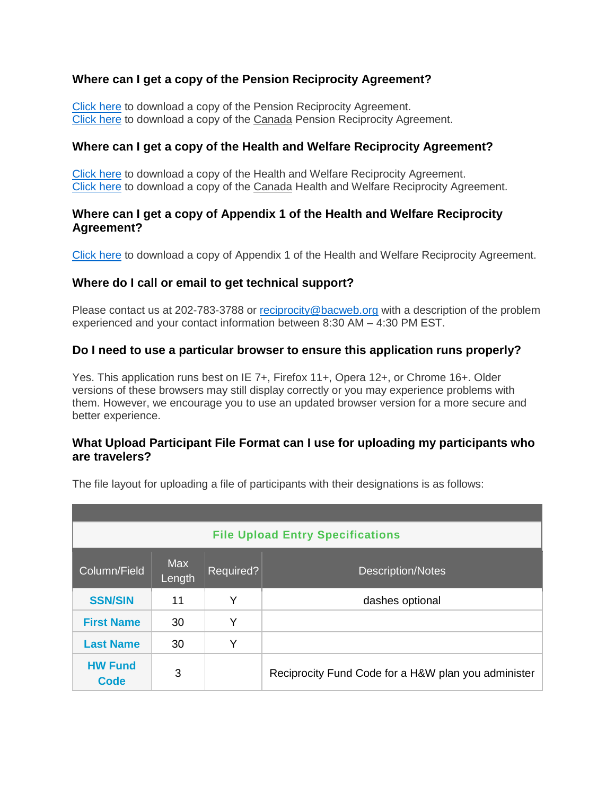# **Where can I get a copy of the Pension Reciprocity Agreement?**

[Click here](http://www.multiemployer.com/pension-reciprocity-agreement.pdf) to download a copy of the Pension Reciprocity Agreement. [Click here](http://www.multiemployer.com/canada-recip-pension-agreement.pdf) to download a copy of the Canada Pension Reciprocity Agreement.

#### **Where can I get a copy of the Health and Welfare Reciprocity Agreement?**

[Click here](http://www.multiemployer.com/hw-reciprocity-agreement.pdf) to download a copy of the Health and Welfare Reciprocity Agreement. [Click here](http://www.multiemployer.com/canada-recip-hwf-agreement.pdf) to download a copy of the Canada Health and Welfare Reciprocity Agreement.

#### **Where can I get a copy of Appendix 1 of the Health and Welfare Reciprocity Agreement?**

[Click here](http://www.multiemployer.com/appendix1.pdf) to download a copy of Appendix 1 of the Health and Welfare Reciprocity Agreement.

#### **Where do I call or email to get technical support?**

Please contact us at 202-783-3788 or [reciprocity@bacweb.org](mailto:reciprocity@bacweb.org) with a description of the problem experienced and your contact information between 8:30 AM – 4:30 PM EST.

#### **Do I need to use a particular browser to ensure this application runs properly?**

Yes. This application runs best on IE 7+, Firefox 11+, Opera 12+, or Chrome 16+. Older versions of these browsers may still display correctly or you may experience problems with them. However, we encourage you to use an updated browser version for a more secure and better experience.

#### **What Upload Participant File Format can I use for uploading my participants who are travelers?**

| <b>File Upload Entry Specifications</b> |                      |           |                                                     |  |  |  |  |
|-----------------------------------------|----------------------|-----------|-----------------------------------------------------|--|--|--|--|
| Column/Field                            | <b>Max</b><br>Length | Required? | <b>Description/Notes</b>                            |  |  |  |  |
| <b>SSN/SIN</b>                          | 11                   | Y         | dashes optional                                     |  |  |  |  |
| <b>First Name</b>                       | 30                   | Y         |                                                     |  |  |  |  |
| <b>Last Name</b>                        | 30                   | Y         |                                                     |  |  |  |  |
| <b>HW Fund</b><br>Code                  | 3                    |           | Reciprocity Fund Code for a H&W plan you administer |  |  |  |  |

The file layout for uploading a file of participants with their designations is as follows: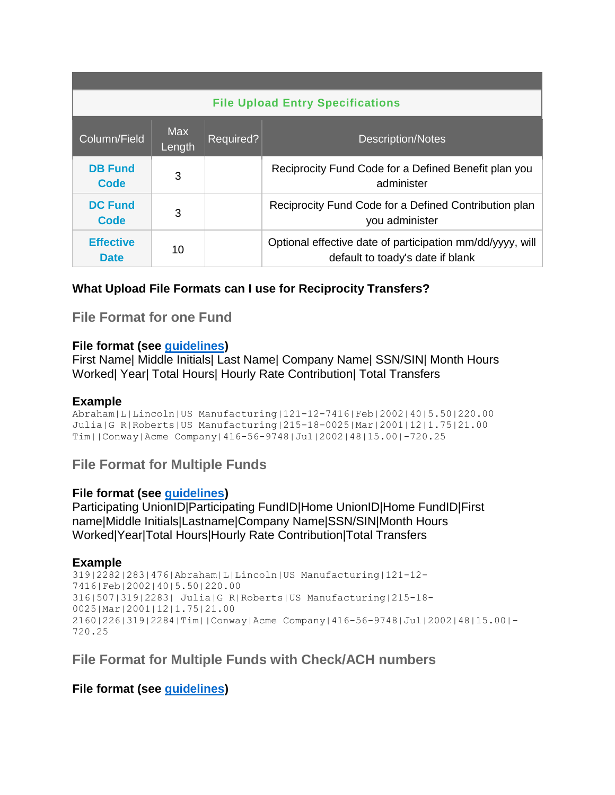| <b>File Upload Entry Specifications</b> |                      |           |                                                                                               |  |  |  |  |
|-----------------------------------------|----------------------|-----------|-----------------------------------------------------------------------------------------------|--|--|--|--|
| Column/Field                            | <b>Max</b><br>Length | Required? | <b>Description/Notes</b>                                                                      |  |  |  |  |
| <b>DB Fund</b><br>Code                  | 3                    |           | Reciprocity Fund Code for a Defined Benefit plan you<br>administer                            |  |  |  |  |
| <b>DC Fund</b><br>Code                  | 3                    |           | Reciprocity Fund Code for a Defined Contribution plan<br>you administer                       |  |  |  |  |
| <b>Effective</b><br><b>Date</b>         | 10                   |           | Optional effective date of participation mm/dd/yyyy, will<br>default to toady's date if blank |  |  |  |  |

# **What Upload File Formats can I use for Reciprocity Transfers?**

**File Format for one Fund**

#### **File format (see [guidelines\)](http://www.multiemployer.com/BACRecip-FundPlanAdministratorWalkthrough.htm#guidelines)**

First Name| Middle Initials| Last Name| Company Name| SSN/SIN| Month Hours Worked| Year| Total Hours| Hourly Rate Contribution| Total Transfers

#### **Example**

Abraham|L|Lincoln|US Manufacturing|121-12-7416|Feb|2002|40|5.50|220.00 Julia|G R|Roberts|US Manufacturing|215-18-0025|Mar|2001|12|1.75|21.00 Tim||Conway|Acme Company|416-56-9748|Jul|2002|48|15.00|-720.25

**File Format for Multiple Funds**

#### **File format (see [guidelines\)](http://www.multiemployer.com/BACRecip-FundPlanAdministratorWalkthrough.htm#guidelines)**

Participating UnionID|Participating FundID|Home UnionID|Home FundID|First name|Middle Initials|Lastname|Company Name|SSN/SIN|Month Hours Worked|Year|Total Hours|Hourly Rate Contribution|Total Transfers

#### **Example**

```
319|2282|283|476|Abraham|L|Lincoln|US Manufacturing|121-12-
7416|Feb|2002|40|5.50|220.00
316|507|319|2283| Julia|G R|Roberts|US Manufacturing|215-18-
0025|Mar|2001|12|1.75|21.00
2160|226|319|2284|Tim||Conway|Acme Company|416-56-9748|Jul|2002|48|15.00|-
720.25
```
# **File Format for Multiple Funds with Check/ACH numbers**

# **File format (see [guidelines\)](http://www.multiemployer.com/BACRecip-FundPlanAdministratorWalkthrough.htm#guidelines)**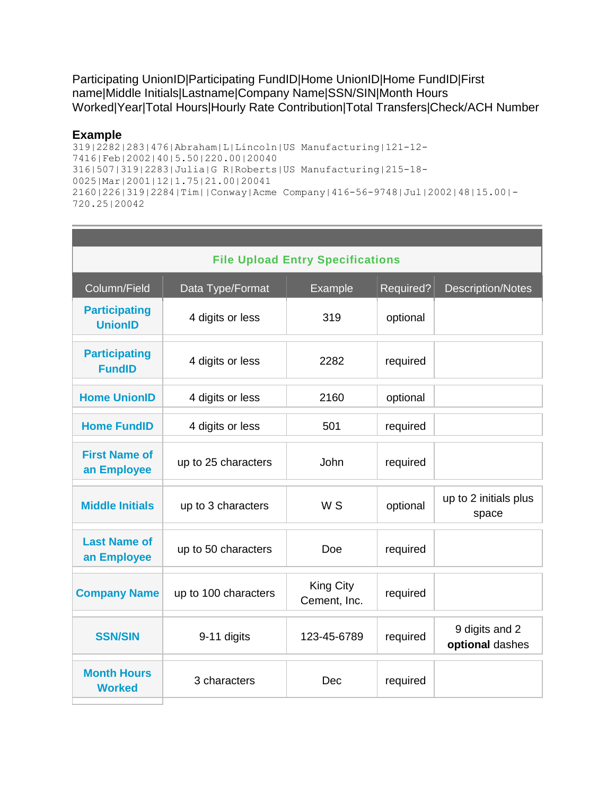Participating UnionID|Participating FundID|Home UnionID|Home FundID|First name|Middle Initials|Lastname|Company Name|SSN/SIN|Month Hours Worked|Year|Total Hours|Hourly Rate Contribution|Total Transfers|Check/ACH Number

#### **Example**

319|2282|283|476|Abraham|L|Lincoln|US Manufacturing|121-12- 7416|Feb|2002|40|5.50|220.00|20040 316|507|319|2283|Julia|G R|Roberts|US Manufacturing|215-18- 0025|Mar|2001|12|1.75|21.00|20041 2160|226|319|2284|Tim||Conway|Acme Company|416-56-9748|Jul|2002|48|15.00|- 720.25|20042

| <b>File Upload Entry Specifications</b> |                      |                                  |           |                                   |  |  |  |  |
|-----------------------------------------|----------------------|----------------------------------|-----------|-----------------------------------|--|--|--|--|
| Column/Field                            | Data Type/Format     | Example                          | Required? | <b>Description/Notes</b>          |  |  |  |  |
| <b>Participating</b><br><b>UnionID</b>  | 4 digits or less     | 319                              | optional  |                                   |  |  |  |  |
| <b>Participating</b><br><b>FundID</b>   | 4 digits or less     | 2282                             | required  |                                   |  |  |  |  |
| <b>Home UnionID</b>                     | 4 digits or less     | 2160                             | optional  |                                   |  |  |  |  |
| <b>Home FundID</b>                      | 4 digits or less     | 501                              | required  |                                   |  |  |  |  |
| <b>First Name of</b><br>an Employee     | up to 25 characters  | John                             | required  |                                   |  |  |  |  |
| <b>Middle Initials</b>                  | up to 3 characters   | W <sub>S</sub>                   | optional  | up to 2 initials plus<br>space    |  |  |  |  |
| <b>Last Name of</b><br>an Employee      | up to 50 characters  | Doe                              | required  |                                   |  |  |  |  |
| <b>Company Name</b>                     | up to 100 characters | <b>King City</b><br>Cement, Inc. | required  |                                   |  |  |  |  |
| <b>SSN/SIN</b>                          | 9-11 digits          | 123-45-6789                      | required  | 9 digits and 2<br>optional dashes |  |  |  |  |
| <b>Month Hours</b><br><b>Worked</b>     | 3 characters         | Dec                              | required  |                                   |  |  |  |  |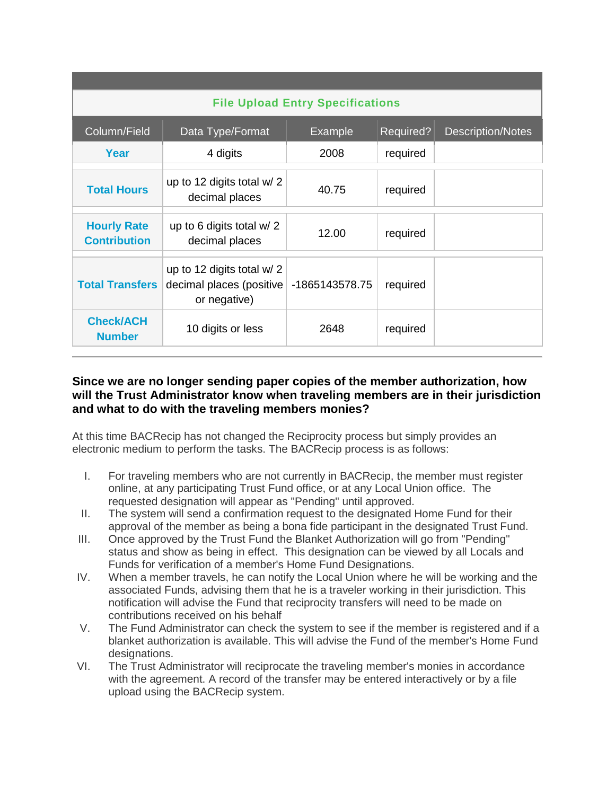| <b>File Upload Entry Specifications</b>   |                                                                        |                |           |                          |  |  |  |  |
|-------------------------------------------|------------------------------------------------------------------------|----------------|-----------|--------------------------|--|--|--|--|
| Column/Field                              | Data Type/Format                                                       | <b>Example</b> | Required? | <b>Description/Notes</b> |  |  |  |  |
| Year                                      | 4 digits                                                               | 2008           | required  |                          |  |  |  |  |
| <b>Total Hours</b>                        | up to 12 digits total $w/2$<br>decimal places                          | 40.75          | required  |                          |  |  |  |  |
| <b>Hourly Rate</b><br><b>Contribution</b> | up to 6 digits total $w/2$<br>decimal places                           | 12.00          | required  |                          |  |  |  |  |
| <b>Total Transfers</b>                    | up to 12 digits total w/ 2<br>decimal places (positive<br>or negative) | -1865143578.75 | required  |                          |  |  |  |  |
| <b>Check/ACH</b><br><b>Number</b>         | 10 digits or less                                                      | 2648           | required  |                          |  |  |  |  |

# **Since we are no longer sending paper copies of the member authorization, how will the Trust Administrator know when traveling members are in their jurisdiction and what to do with the traveling members monies?**

At this time BACRecip has not changed the Reciprocity process but simply provides an electronic medium to perform the tasks. The BACRecip process is as follows:

- I. For traveling members who are not currently in BACRecip, the member must register online, at any participating Trust Fund office, or at any Local Union office. The requested designation will appear as "Pending" until approved.
- II. The system will send a confirmation request to the designated Home Fund for their approval of the member as being a bona fide participant in the designated Trust Fund.
- III. Once approved by the Trust Fund the Blanket Authorization will go from "Pending" status and show as being in effect. This designation can be viewed by all Locals and Funds for verification of a member's Home Fund Designations.
- IV. When a member travels, he can notify the Local Union where he will be working and the associated Funds, advising them that he is a traveler working in their jurisdiction. This notification will advise the Fund that reciprocity transfers will need to be made on contributions received on his behalf
- V. The Fund Administrator can check the system to see if the member is registered and if a blanket authorization is available. This will advise the Fund of the member's Home Fund designations.
- VI. The Trust Administrator will reciprocate the traveling member's monies in accordance with the agreement. A record of the transfer may be entered interactively or by a file upload using the BACRecip system.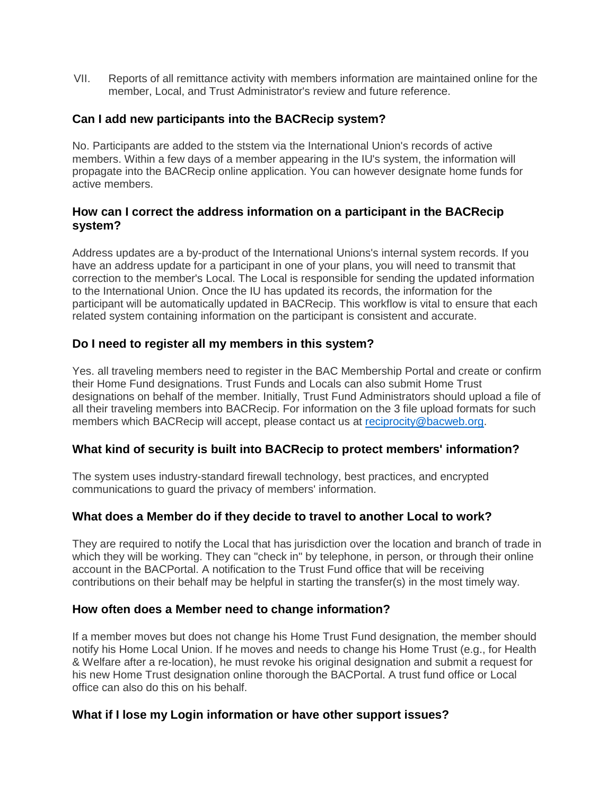VII. Reports of all remittance activity with members information are maintained online for the member, Local, and Trust Administrator's review and future reference.

# **Can I add new participants into the BACRecip system?**

No. Participants are added to the ststem via the International Union's records of active members. Within a few days of a member appearing in the IU's system, the information will propagate into the BACRecip online application. You can however designate home funds for active members.

# **How can I correct the address information on a participant in the BACRecip system?**

Address updates are a by-product of the International Unions's internal system records. If you have an address update for a participant in one of your plans, you will need to transmit that correction to the member's Local. The Local is responsible for sending the updated information to the International Union. Once the IU has updated its records, the information for the participant will be automatically updated in BACRecip. This workflow is vital to ensure that each related system containing information on the participant is consistent and accurate.

# **Do I need to register all my members in this system?**

Yes. all traveling members need to register in the BAC Membership Portal and create or confirm their Home Fund designations. Trust Funds and Locals can also submit Home Trust designations on behalf of the member. Initially, Trust Fund Administrators should upload a file of all their traveling members into BACRecip. For information on the 3 file upload formats for such members which BACRecip will accept, please contact us at [reciprocity@bacweb.org.](mailto:reciprocity@bacweb.org)

# **What kind of security is built into BACRecip to protect members' information?**

The system uses industry-standard firewall technology, best practices, and encrypted communications to guard the privacy of members' information.

# **What does a Member do if they decide to travel to another Local to work?**

They are required to notify the Local that has jurisdiction over the location and branch of trade in which they will be working. They can "check in" by telephone, in person, or through their online account in the BACPortal. A notification to the Trust Fund office that will be receiving contributions on their behalf may be helpful in starting the transfer(s) in the most timely way.

# **How often does a Member need to change information?**

If a member moves but does not change his Home Trust Fund designation, the member should notify his Home Local Union. If he moves and needs to change his Home Trust (e.g., for Health & Welfare after a re-location), he must revoke his original designation and submit a request for his new Home Trust designation online thorough the BACPortal. A trust fund office or Local office can also do this on his behalf.

# **What if I lose my Login information or have other support issues?**